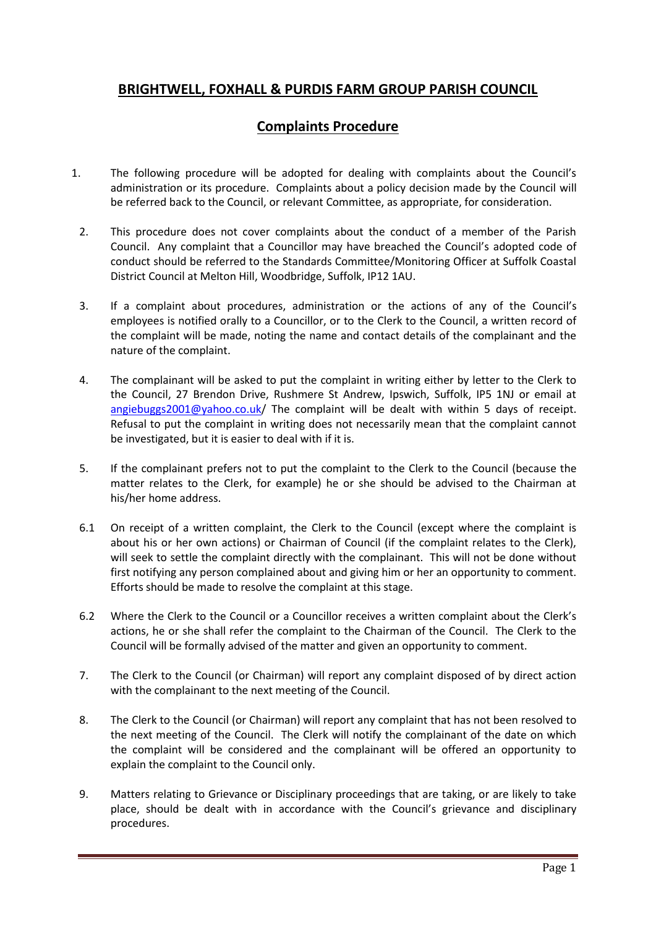## **BRIGHTWELL, FOXHALL & PURDIS FARM GROUP PARISH COUNCIL**

## **Complaints Procedure**

- 1. The following procedure will be adopted for dealing with complaints about the Council's administration or its procedure. Complaints about a policy decision made by the Council will be referred back to the Council, or relevant Committee, as appropriate, for consideration.
	- 2. This procedure does not cover complaints about the conduct of a member of the Parish Council. Any complaint that a Councillor may have breached the Council's adopted code of conduct should be referred to the Standards Committee/Monitoring Officer at Suffolk Coastal District Council at Melton Hill, Woodbridge, Suffolk, IP12 1AU.
	- 3. If a complaint about procedures, administration or the actions of any of the Council's employees is notified orally to a Councillor, or to the Clerk to the Council, a written record of the complaint will be made, noting the name and contact details of the complainant and the nature of the complaint.
	- 4. The complainant will be asked to put the complaint in writing either by letter to the Clerk to the Council, 27 Brendon Drive, Rushmere St Andrew, Ipswich, Suffolk, IP5 1NJ or email at [angiebuggs2001@yahoo.co.uk/](mailto:angiebuggs2001@yahoo.co.uk) The complaint will be dealt with within 5 days of receipt. Refusal to put the complaint in writing does not necessarily mean that the complaint cannot be investigated, but it is easier to deal with if it is.
	- 5. If the complainant prefers not to put the complaint to the Clerk to the Council (because the matter relates to the Clerk, for example) he or she should be advised to the Chairman at his/her home address.
	- 6.1 On receipt of a written complaint, the Clerk to the Council (except where the complaint is about his or her own actions) or Chairman of Council (if the complaint relates to the Clerk), will seek to settle the complaint directly with the complainant. This will not be done without first notifying any person complained about and giving him or her an opportunity to comment. Efforts should be made to resolve the complaint at this stage.
	- 6.2 Where the Clerk to the Council or a Councillor receives a written complaint about the Clerk's actions, he or she shall refer the complaint to the Chairman of the Council. The Clerk to the Council will be formally advised of the matter and given an opportunity to comment.
	- 7. The Clerk to the Council (or Chairman) will report any complaint disposed of by direct action with the complainant to the next meeting of the Council.
	- 8. The Clerk to the Council (or Chairman) will report any complaint that has not been resolved to the next meeting of the Council. The Clerk will notify the complainant of the date on which the complaint will be considered and the complainant will be offered an opportunity to explain the complaint to the Council only.
	- 9. Matters relating to Grievance or Disciplinary proceedings that are taking, or are likely to take place, should be dealt with in accordance with the Council's grievance and disciplinary procedures.